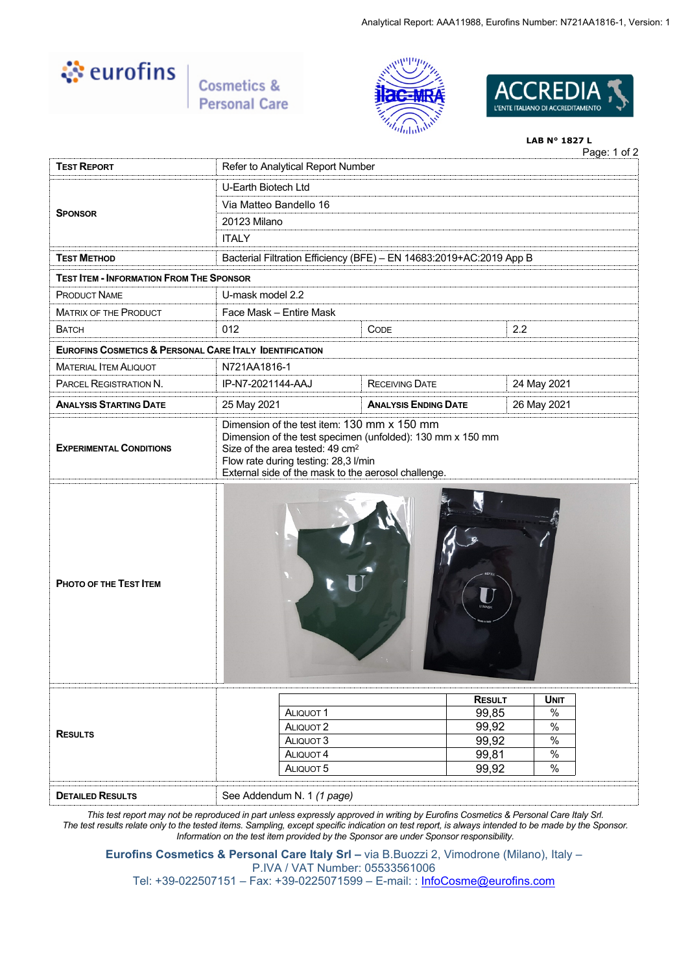

Cosmetics & **Personal Care** 





# Page: 1 of 2 **LAB N° 1827 L TEST REPORT** Refer to Analytical Report Number U-Earth Biotech Ltd Via Matteo Bandello 16 20123 Milano **SPONSOR ITALY TEST METHOD** Bacterial Filtration Efficiency (BFE) – EN 14683:2019+AC:2019 App B **TEST ITEM - INFORMATION FROM THE SPONSOR** PRODUCT NAME U-mask model 2.2 MATRIX OF THE PRODUCT Face Mask – Entire Mask BATCH 012 CODE 2.2 **EUROFINS COSMETICS & PERSONAL CARE ITALY IDENTIFICATION** MATERIAL ITEM ALIQUOT N721AA1816-1 PARCEL REGISTRATION N. IP-N7-2021144-AAJ RECEIVING DATE 24 May 2021 **ANALYSIS STARTING DATE** 25 May 2021 **ANALYSIS ENDING DATE** 26 May 2021 **EXPERIMENTAL CONDITIONS** Dimension of the test item: 130 mm x 150 mm Dimension of the test specimen (unfolded): 130 mm x 150 mm Size of the area tested: 49 cm<sup>2</sup> Flow rate during testing: 28,3 l/min External side of the mask to the aerosol challenge. **PHOTO OF THE TEST ITEM RESULTS RESULT UNIT** ALIQUOT 1 99,85 % ALIQUOT 2 99,92 % ALIQUOT 3 99,92 %<br>ALIQUOT 4 99.81 % ALIQUOT 4 99,81 ALIQUOT 5 99.92 % **DETAILED RESULTS** See Addendum N. 1 *(1 page)*

*This test report may not be reproduced in part unless expressly approved in writing by Eurofins Cosmetics & Personal Care Italy Srl. The test results relate only to the tested items. Sampling, except specific indication on test report, is always intended to be made by the Sponsor. Information on the test item provided by the Sponsor are under Sponsor responsibility.*

**Eurofins Cosmetics & Personal Care Italy Srl –** via B.Buozzi 2, Vimodrone (Milano), Italy – P.IVA / VAT Number: 05533561006

Tel: +39-022507151 – Fax: +39-0225071599 – E-mail: : [InfoCosme@eurofins.com](mailto:InfoCosme@eurofins.com)